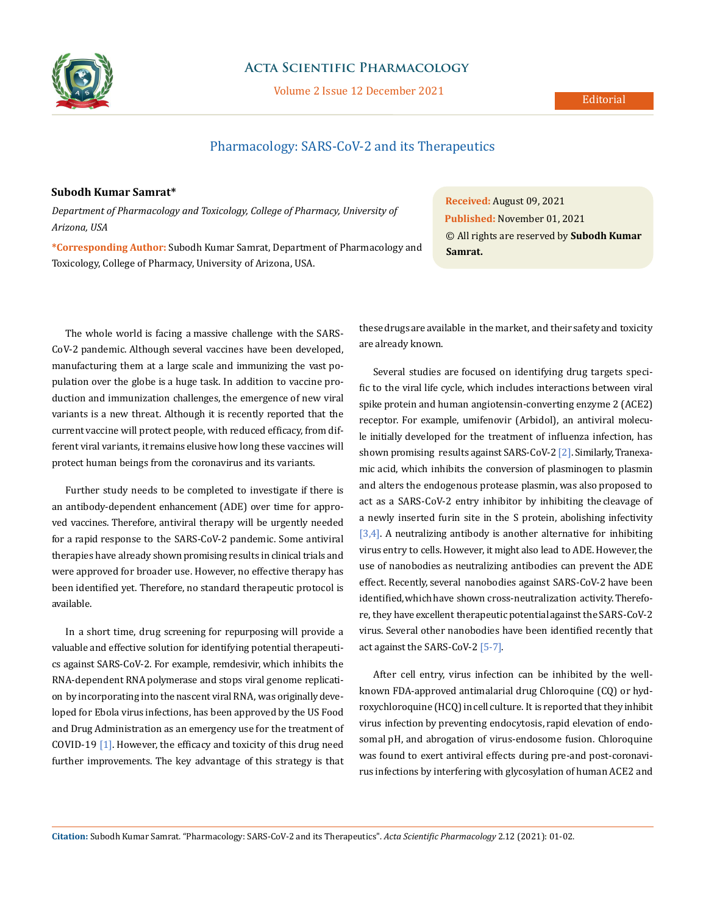

### **Acta Scientific Pharmacology**

Volume 2 Issue 12 December 2021

# Pharmacology: SARS-CoV-2 and its Therapeutics

#### **Subodh Kumar Samrat\***

*Department of Pharmacology and Toxicology, College of Pharmacy, University of Arizona, USA*

**\*Corresponding Author:** Subodh Kumar Samrat, Department of Pharmacology and Toxicology, College of Pharmacy, University of Arizona, USA.

The whole world is facing a massive challenge with the SARS-CoV-2 pandemic. Although several vaccines have been developed, manufacturing them at a large scale and immunizing the vast population over the globe is a huge task. In addition to vaccine production and immunization challenges, the emergence of new viral variants is a new threat. Although it is recently reported that the current vaccine will protect people, with reduced efficacy, from different viral variants, it remains elusive how long these vaccines will protect human beings from the coronavirus and its variants.

Further study needs to be completed to investigate if there is an antibody-dependent enhancement (ADE) over time for approved vaccines. Therefore, antiviral therapy will be urgently needed for a rapid response to the SARS-CoV-2 pandemic. Some antiviral therapies have already shown promising results in clinical trials and were approved for broader use. However, no effective therapy has been identified yet. Therefore, no standard therapeutic protocol is available.

In a short time, drug screening for repurposing will provide a valuable and effective solution for identifying potential therapeutics against SARS-CoV-2. For example, remdesivir, which inhibits the RNA-dependent RNA polymerase and stops viral genome replication by incorporating into the nascent viral RNA, was originally developed for Ebola virus infections, has been approved by the US Food and Drug Administration as an emergency use for the treatment of COVID-19 [1]. However, the efficacy and toxicity of this drug need further improvements. The key advantage of this strategy is that

**Received:** August 09, 2021 **Published:** November 01, 2021 © All rights are reserved by **Subodh Kumar Samrat.**

these drugs are available in the market, and their safety and toxicity are already known.

Several studies are focused on identifying drug targets specific to the viral life cycle, which includes interactions between viral spike protein and human angiotensin-converting enzyme 2 (ACE2) receptor. For example, umifenovir (Arbidol), an antiviral molecule initially developed for the treatment of influenza infection, has shown promising results against SARS-CoV-2 [2]. Similarly, Tranexamic acid, which inhibits the conversion of plasminogen to plasmin and alters the endogenous protease plasmin, was also proposed to act as a SARS-CoV-2 entry inhibitor by inhibiting the cleavage of a newly inserted furin site in the S protein, abolishing infectivity [3,4]. A neutralizing antibody is another alternative for inhibiting virus entry to cells. However, it might also lead to ADE. However, the use of nanobodies as neutralizing antibodies can prevent the ADE effect. Recently, several nanobodies against SARS-CoV-2 have been identified, which have shown cross-neutralization activity. Therefore, they have excellent therapeutic potential against the SARS-CoV-2 virus. Several other nanobodies have been identified recently that act against the SARS-CoV-2 [5-7].

After cell entry, virus infection can be inhibited by the wellknown FDA-approved antimalarial drug Chloroquine (CQ) or hydroxychloroquine (HCQ) in cell culture. It is reported that they inhibit virus infection by preventing endocytosis, rapid elevation of endosomal pH, and abrogation of virus-endosome fusion. Chloroquine was found to exert antiviral effects during pre-and post-coronavirus infections by interfering with glycosylation of human ACE2 and

**Citation:** Subodh Kumar Samrat*.* "Pharmacology: SARS-CoV-2 and its Therapeutics". *Acta Scientific Pharmacology* 2.12 (2021): 01-02.